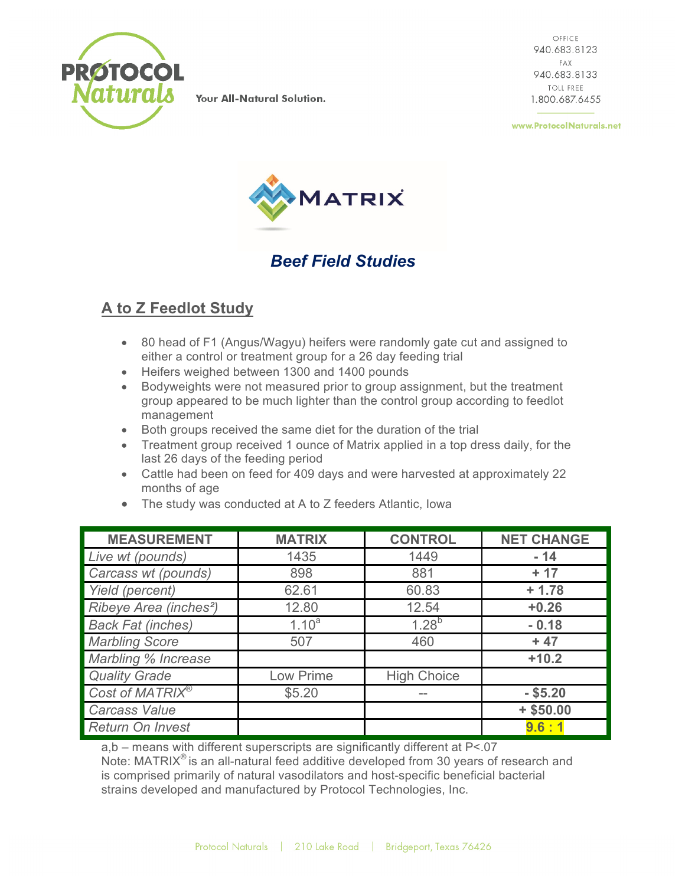

Your All-Natural Solution.

OFFICE 940.683.8123 FAX 940.683.8133 **TOLL FREE** 1.800.687.6455

www.ProtocolNaturals.net



## *Beef Field Studies*

## **A to Z Feedlot Study**

- 80 head of F1 (Angus/Wagyu) heifers were randomly gate cut and assigned to either a control or treatment group for a 26 day feeding trial
- Heifers weighed between 1300 and 1400 pounds
- Bodyweights were not measured prior to group assignment, but the treatment group appeared to be much lighter than the control group according to feedlot management
- Both groups received the same diet for the duration of the trial
- Treatment group received 1 ounce of Matrix applied in a top dress daily, for the last 26 days of the feeding period
- Cattle had been on feed for 409 days and were harvested at approximately 22 months of age

| <b>MEASUREMENT</b>                 | <b>MATRIX</b> | <b>CONTROL</b>     | <b>NET CHANGE</b> |
|------------------------------------|---------------|--------------------|-------------------|
| Live wt (pounds)                   | 1435          | 1449               | $-14$             |
| Carcass wt (pounds)                | 898           | 881                | $+17$             |
| Yield (percent)                    | 62.61         | 60.83              | $+1.78$           |
| Ribeye Area (inches <sup>2</sup> ) | 12.80         | 12.54              | $+0.26$           |
| <b>Back Fat (inches)</b>           | $1.10^{a}$    | $1.28^{b}$         | $-0.18$           |
| <b>Marbling Score</b>              | 507           | 460                | $+47$             |
| Marbling % Increase                |               |                    | $+10.2$           |
| <b>Quality Grade</b>               | Low Prime     | <b>High Choice</b> |                   |
| Cost of MATRIX <sup>®</sup>        | \$5.20        |                    | $-$ \$5.20        |
| <b>Carcass Value</b>               |               |                    | $+$ \$50.00       |
| <b>Return On Invest</b>            |               |                    | 9.6:1             |

• The study was conducted at A to Z feeders Atlantic, Iowa

a,b – means with different superscripts are significantly different at P<.07 Note:  $MATRIX<sup>®</sup>$  is an all-natural feed additive developed from 30 years of research and is comprised primarily of natural vasodilators and host-specific beneficial bacterial strains developed and manufactured by Protocol Technologies, Inc.